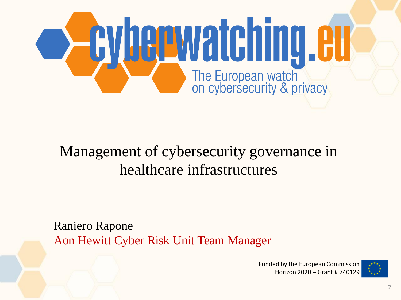

#### Management of cybersecurity governance in healthcare infrastructures

Raniero Rapone Aon Hewitt Cyber Risk Unit Team Manager

> Funded by the European Commission Horizon 2020 – Grant # 740129

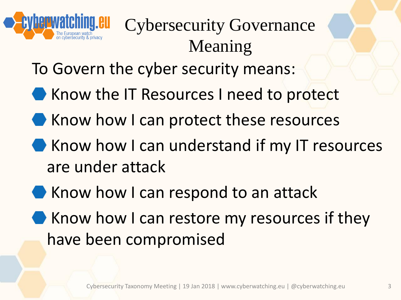

# Cybersecurity Governance Meaning

To Govern the cyber security means:

- Know the IT Resources I need to protect
- Know how I can protect these resources
- Know how I can understand if my IT resources are under attack
- Know how I can respond to an attack
- Know how I can restore my resources if they have been compromised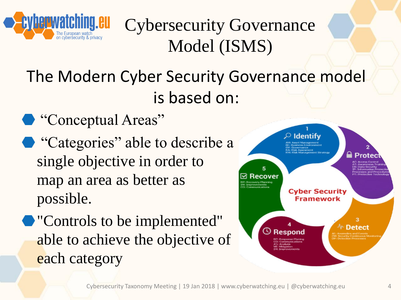

Cybersecurity Governance Model (ISMS)

#### The Modern Cyber Security Governance model is based on:

- $\bullet$  "Conceptual Areas"
- "Categories" able to describe a single objective in order to map an area as better as possible.
- "Controls to be implemented" able to achieve the objective of each category

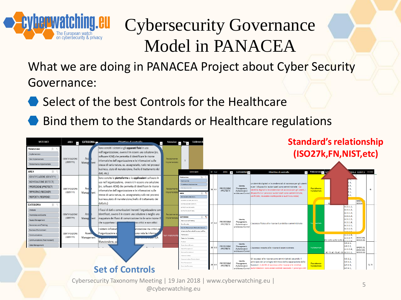

## Cybersecurity Governance Model in PANACEA

What we are doing in PANACEA Project about Cyber Security Governance:

- Select of the best Controls for the Healthcare
- Bind them to the Standards or Healthcare regulations



Cybersecurity Taxonomy Meeting | 19 Jan 2018 | www.cyberwatching.eu | @cyberwatching.eu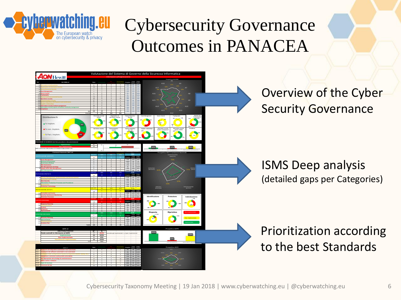

#### Cybersecurity Governance Outcomes in PANACEA



Cybersecurity Taxonomy Meeting | 19 Jan 2018 | www.cyberwatching.eu | @cyberwatching.eu 6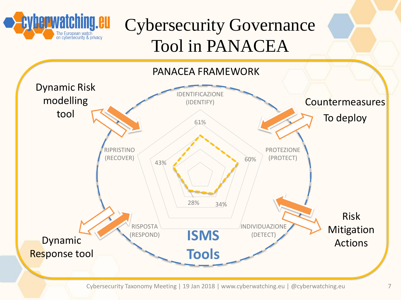

### Cybersecurity Governance Tool in PANACEA



Cybersecurity Taxonomy Meeting | 19 Jan 2018 | www.cyberwatching.eu | @cyberwatching.eu 7